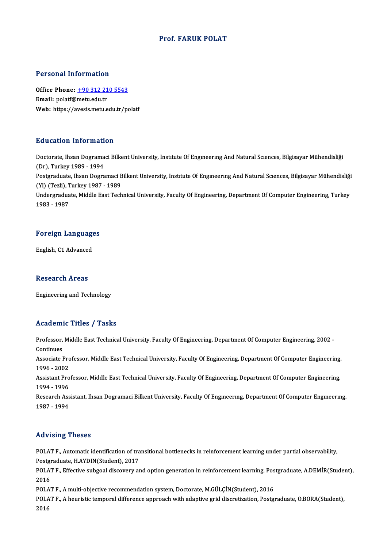### Prof. FARUK POLAT

### Personal Information

Personal Information<br>Office Phone: <u>+90 312 210 5543</u><br>Email: polatf@matu.edu.tr Processing internation<br>Office Phone: <u>+90 312 21</u><br>Email: polatf@metu.edu.tr Email: polatf@metu.edu.tr<br>Web: https://a[vesis.metu.edu.tr/p](tel:+90 312 210 5543)olatf

### Education Information

Doctorate, Ihsan Dogramaci Bilkent University, Institute Of Engineering And Natural Sciences, Bilgisayar Mühendisliği (Dr), Turkey 1989 - 1994 Doctorate, Ihsan Dogramaci Bilkent University, Institute Of Engineering And Natural Sciences, Bilgisayar Mühendisliği<br>(Dr), Turkey 1989 - 1994<br>Postgraduate, Ihsan Dogramaci Bilkent University, Institute Of Engineering And (Dr), Turkey 1989 - 1994<br>Postgraduate, Ihsan Dogramaci B<br>(Yl) (Tezli), Turkey 1987 - 1989<br>Undergraduate Middle Fest Tesh Postgraduate, Ihsan Dogramaci Bilkent University, Institute Of Engineering And Natural Sciences, Bilgisayar Mühendisliği<br>(Yl) (Tezli), Turkey 1987 - 1989<br>Undergraduate, Middle East Technical University, Faculty Of Engineer (Yl) (Tezli), Turkey 1987 - 1989<br>Undergraduate, Middle East Technical University, Faculty Of Engineering, Department Of Computer Engineering, Turkey<br>1983 - 1987

# 1983 - 1987<br>Foreign Languages <mark>Foreign Languag</mark><br>English, C1 Advanced

English, C1 Advanced<br>Research Areas

Engineering and Technology

### Academic Titles / Tasks

Academic Titles / Tasks<br>Professor, Middle East Technical University, Faculty Of Engineering, Department Of Computer Engineering, 2002 -<br>Continues Professor,<br>Continues<br>Associate I Professor, Middle East Technical University, Faculty Of Engineering, Department Of Computer Engineering, 2002 -<br>Continues<br>Associate Professor, Middle East Technical University, Faculty Of Engineering, Department Of Compute Continues<br>Associate Pro<br>1996 - 2002<br>Assistant Pro Associate Professor, Middle East Technical University, Faculty Of Engineering, Department Of Computer Engineering,<br>1996 - 2002<br>Assistant Professor, Middle East Technical University, Faculty Of Engineering, Department Of Co 1996 - 2002<br>Assistant Professor, Middle East Technical University, Faculty Of Engineering, Department Of Computer Engineering,<br>1994 - 1996 Assistant Professor, Middle East Technical University, Faculty Of Engineering, Department Of Computer Engineering,<br>1994 - 1996<br>Research Assistant, Ihsan Dogramaci Bilkent University, Faculty Of Engineering, Department Of C

1994 - 1996<br>Research Ass<br>1987 - 1994 Advising Theses

Advising Theses<br>POLAT F., Automatic identification of transitional bottlenecks in reinforcement learning under partial observability,<br>Restanaduate H AVDIN(Student), 2017 POLAT F., Automatic identification of tra<br>Postgraduate, H.AYDIN(Student), 2017<br>POLAT E. Effective subseel discovery of POLAT F., Automatic identification of transitional bottlenecks in reinforcement learning under partial observability,<br>Postgraduate, H.AYDIN(Student), 2017<br>POLAT F., Effective subgoal discovery and option generation in rein

Postgraduate, H.AYDIN(Student), 2017<br>POLAT F., Effective subgoal discovery and option generation in reinforcement learning, Po:<br>2016<br>POLAT F., A multi-objective recommendation system, Doctorate, M.GÜLÇİN(Student), 2016 POLAT F., Effective subgoal discovery and option generation in reinforcement learning, Postgraduate, A.DEMİR(Student),

POLAT F., A heuristic temporal difference approach with adaptive grid discretization, Postgraduate, O.BORA(Student), 2016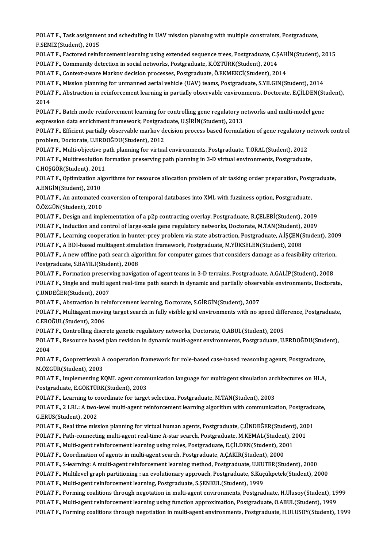POLAT F., Task assignment and scheduling in UAV mission planning with multiple constraints, Postgraduate,<br>E SEMIZ(Student), 2015 POLAT F., Task assignme<br>F.SEMİZ(Student), 2015<br>POLAT E. Fastared reinf POLAT F., Task assignment and scheduling in UAV mission planning with multiple constraints, Postgraduate,<br>F.SEMİZ(Student), 2015<br>POLAT F., Factored reinforcement learning using extended sequence trees, Postgraduate, C.ŞAHİ

F.SEMİZ(Student), 2015<br>POLAT F., Factored reinforcement learning using extended sequence trees, Postgraduate, C.ŞAHİN(Student), 2015<br>POLAT F., Community detection in social networks, Postgraduate, K.ÖZTÜRK(Student), 2014

POLAT F., Context-aware Markov decision processes, Postgraduate, Ö.EKMEKCİ(Student), 2014

POLAT F., Mission planning for unmanned aerial vehicle (UAV) teams, Postgraduate, S.YILGIN(Student), 2014

POLAT F., Context-aware Markov decision processes, Postgraduate, Ö.EKMEKCİ(Student), 2014<br>POLAT F., Mission planning for unmanned aerial vehicle (UAV) teams, Postgraduate, S.YILGIN(Student), 2014<br>POLAT F., Abstraction in r POLAT<br>POLAT<br>2014<br>POLAT POLAT F., Abstraction in reinforcement learning in partially observable environments, Doctorate, E.ÇİLDEN(Sti<br>2014<br>POLAT F., Batch mode reinforcement learning for controlling gene regulatory networks and multi-model gene<br>a

2014<br>POLAT F., Batch mode reinforcement learning for controlling gene regulatory n<br>expression data enrichment framework, Postgraduate, U.ŞİRİN(Student), 2013<br>POLAT E. Efficient partially observable markov decision prosess POLAT F., Batch mode reinforcement learning for controlling gene regulatory networks and multi-model gene<br>expression data enrichment framework, Postgraduate, U.ŞİRİN(Student), 2013<br>POLAT F., Efficient partially observable

expression data enrichment framework, Postgrad<br>POLAT F., Efficient partially observable markov de<br>problem, Doctorate, U.ERDOĞDU(Student), 2012<br>POLAT E. Multi objective path planning for virtue POLAT F., Efficient partially observable markov decision process based formulation of gene regulatory n<br>problem, Doctorate, U.ERDOĞDU(Student), 2012<br>POLAT F., Multi-objective path planning for virtual environments, Postgra

problem, Doctorate, U.ERDOĞDU(Student), 2012<br>POLAT F., Multi-objective path planning for virtual environments, Postgraduate, T.ORAL(Student), 2012<br>POLAT F., Multiresolution formation preserving path planning in 3-D virtual POLAT F., Multi-objective p.<br>POLAT F., Multiresolution f<br>C.HOŞGÖR(Student), 2011<br>POLAT E. Optimization else POLAT F., Multiresolution formation preserving path planning in 3-D virtual environments, Postgraduate,<br>C.HOŞGÖR(Student), 2011<br>POLAT F., Optimization algorithms for resource allocation problem of air tasking order prepara

C.HOŞGÖR(Student), 2011<br>POLAT F., Optimization algorithms for resource allocation problem of air tasking order preparation, Postg<br>A.ENGİN(Student), 2010<br>POLAT F., An automated conversion of temporal databases into XML with POLAT F., Optimization algorithms for resource allocation problem of air tasking order preparation, Postg<br>A.ENGİN(Student), 2010<br>POLAT F., An automated conversion of temporal databases into XML with fuzziness option, Postg

Ö.ÖZGÜN(Student),2010

POLAT F., Design and implementation of a p2p contracting overlay, Postgraduate, R.ÇELEBİ(Student), 2009 Ö.ÖZGÜN(Student), 2010<br>POLAT F., Design and implementation of a p2p contracting overlay, Postgraduate, R.ÇELEBİ(Student), 2009<br>POLAT F., Induction and control of large-scale gene regulatory networks, Doctorate, M.TAN(Stude POLAT F., Induction and control of large-scale gene regulatory networks, Doctorate, M.TAN(Student),<br>POLAT F., Learning cooperation in hunter-prey problem via state abstraction, Postgraduate, A.İŞÇEN(S<br>POLAT F., A BDI-based

POLAT F., Learning cooperation in hunter-prey problem via state abstraction, Postgraduate, A.İŞÇEN(Student), 2009

POLAT F., Learning cooperation in hunter-prey problem via state abstraction, Postgraduate, A.İŞÇEN(Student), 200<br>POLAT F., A BDI-based multiagent simulation framework, Postgraduate, M.YÜKSELEN(Student), 2008<br>POLAT F., A ne POLAT F., A BDI-based multiagent simulation framework, Postgraduate, M.YÜKSELEN(Student), 2008<br>POLAT F., A new offline path search algorithm for computer games that considers damage as a feasibi<br>Postgraduate, S.BAYILI(Stud POLAT F., A new offline path search algorithm for computer games that considers damage as a feasibility criterion<br>Postgraduate, S.BAYILI(Student), 2008<br>POLAT F., Formation preserving navigation of agent teams in 3-D terrai

POLAT F., Single and multi agent real-time path search in dynamic and partially observable environments, Doctorate, C.ÜNDEĞER(Student), 2007 POLAT F., Formation preserving navigation of agent teams in 3-D terrains, Postgraduate, A.GALIP(Student), 2008 POLAT F., Single and multi agent real-time path search in dynamic and partially observ<br>C.ÜNDEĞER(Student), 2007<br>POLAT F., Abstraction in reinforcement learning, Doctorate, S.GİRGİN(Student), 2007<br>POLAT F., Multiagent mevin

Ç.ÜNDEĞER(Student), 2007<br>POLAT F., Abstraction in reinforcement learning, Doctorate, S.GİRGİN(Student), 2007<br>POLAT F., Multiagent moving target search in fully visible grid environments with no speed difference, Postgradua POLAT F., Abstraction in re<br>POLAT F., Multiagent movir<br>C.EROĞUL(Student), 2006<br>POLAT E. Controlling discr POLAT F., Multiagent moving target search in fully visible grid environments with no speed different C.<br>EROĞUL(Student), 2006<br>POLAT F., Controlling discrete genetic regulatory networks, Doctorate, O.ABUL(Student), 2005<br>POL

C.EROĞUL(Student), 2006<br>POLAT F., Controlling discrete genetic regulatory networks, Doctorate, O.ABUL(Student), 2005<br>POLAT F., Resource based plan revision in dynamic multi-agent environments, Postgraduate, U.ERDOĞDU(Stude POLAT<br>POLAT<br>2004<br>POLAT POLAT F., Resource based plan revision in dynamic multi-agent environments, Postgraduate, U.ERDOĞDU(Stud<br>2004<br>POLAT F., Coopretrieval: A cooperation framework for role-based case-based reasoning agents, Postgraduate,<br>M.ÖZC

2004<br>POLAT F., Coopretrieval: A cooperation framework for role-based case-based reasoning agents, Postgraduate,<br>M.ÖZGÜR(Student), 2003 POLAT F., Coopretrieval: A cooperation framework for role-based case-based reasoning agents, Postgraduate,<br>M.ÖZGÜR(Student), 2003<br>POLAT F., Implementing KQML agent communication language for multiagent simulation architect

Postgraduate,E.GÖKTÜRK(Student),2003 POLAT F., Implementing KQML agent communication language for multiagent simulation arc<br>Postgraduate, E.GÖKTÜRK(Student), 2003<br>POLAT F., Learning to coordinate for target selection, Postgraduate, M.TAN(Student), 2003<br>POLAT

POLAT F., Learning to coordinate for target selection, Postgraduate, M.TAN(Student), 2003

POLAT F., 2 LRL: A two-level multi-agent reinforcement learning algorithm with communication, Postgraduate, G.ERUS(Student), 2002 POLAT F., 2 LRL: A two-level multi-agent reinforcement learning algorithm with communication, Postgradu<br>G.ERUS(Student), 2002<br>POLAT F., Real time mission planning for virtual human agents, Postgraduate, Ç.ÜNDEĞER(Student), G.ERUS(Student), 2002<br>POLAT F., Real time mission planning for virtual human agents, Postgraduate, Ç.ÜNDEĞER(Student), 200<br>POLAT F., Path-connecting multi-agent real-time A-star search, Postgraduate, M.KEMAL(Student), 2001

POLAT F., Real time mission planning for virtual human agents, Postgraduate, Ç.ÜNDEĞER(Student)<br>POLAT F., Path-connecting multi-agent real-time A-star search, Postgraduate, M.KEMAL(Student), 2<br>POLAT F., Multi-agent reinfor

POLAT F., Path-connecting multi-agent real-time A-star search, Postgraduate, M.KEMAL(Student<br>POLAT F., Multi-agent reinforcement learning using roles, Postgraduate, E.ÇİLDEN(Student), 20<br>POLAT F., Coordination of agents in

POLAT F., Multi-agent reinforcement learning using roles, Postgraduate, E.CİLDEN(Student), 2001<br>POLAT F., Coordination of agents in multi-agent search, Postgraduate, A.CAKIR(Student), 2000<br>POLAT F., S-learning: A multi-age POLAT F., S-learning: A multi-agent reinforcement learning method, Postgraduate, U.KU<br>POLAT F., Multilevel graph partitioning : an evolutionary approach, Postgraduate, S.Küç<br>POLAT F., Multi-agent reinforcement learning, Po

POLAT F., Coordination of agents in multi-agent search, Postgraduate, A.ÇAKIR(Student), 2000<br>POLAT F., S-learning: A multi-agent reinforcement learning method, Postgraduate, U.KUTER(Student), 2000<br>POLAT F., Multilevel grap

POLAT F., Multilevel graph partitioning : an evolutionary approach, Postgraduate, S.Küçükpetek(Student), 2000<br>POLAT F., Multi-agent reinforcement learning, Postgraduate, S.ŞENKUL(Student), 1999<br>POLAT F., Forming coalitions POLAT F., Multi-agent reinforcement learning, Postgraduate, S.ŞENKUL(Student), 1999<br>POLAT F., Forming coalitions through negotation in multi-agent environments, Postgraduate, H.Ulusoy(Student), 1999<br>POLAT F., Multi-agent r

POLAT F., Forming coalitions through negotiation in multi-agent environments, Postgraduate, H.ULUSOY(Student), 1999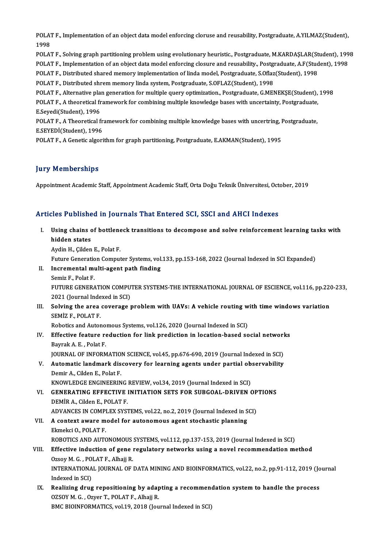POLAT F., Implementation of an object data model enforcing cloruse and reusability, Postgraduate, A.YILMAZ(Student),<br>1998 POLAT<br>1998<br>POLAT POLAT F., Implementation of an object data model enforcing cloruse and reusability, Postgraduate, A.YILMAZ(Student),<br>1998<br>POLAT F., Solving graph partitioning problem using evolutionary heuristic., Postgraduate, M.KARDAŞLA

1998<br>POLAT F., Solving graph partitioning problem using evolutionary heuristic., Postgraduate, M.KARDAŞLAR(Student), 199<br>POLAT F., Implementation of an object data model enforcing closure and reusability., Postgraduate, A. POLAT F., Solving graph partitioning problem using evolutionary heuristic., Postgraduate, M.KARDAŞLAR(St<br>POLAT F., Implementation of an object data model enforcing closure and reusability., Postgraduate, A.F(Stud<br>POLAT F.,

POLAT F., Implementation of an object data model enforcing closure and reusability., Postgraduate, S.Oflaz<br>POLAT F., Distributed shared memory implementation of linda model, Postgraduate, S.Oflaz<br>POLAT F., Distributed shre

POLAT F., Distributed shared memory implementation of linda model, Postgraduate, S.Oflaz(Student), 1998<br>POLAT F., Distributed shrem memory linda system, Postgraduate, S.OFLAZ(Student), 1998<br>POLAT F., Alternative plan gener POLAT F., Distributed shrem memory linda system, Postgraduate, S.OFLAZ(Student), 1998<br>POLAT F., Alternative plan generation for multiple query optimization., Postgraduate, G.MENEKŞE(Student),<br>POLAT F., A theoretical framew POLAT F., Alternative pla:<br>POLAT F., A theoretical fr<br>E.Seyedi(Student), 1996<br>POLAT E. A Theoretical f

POLAT F., A theoretical framework for combining multiple knowledge bases with uncertainty, Postgraduate, E.Seyedi(Student), 1996<br>POLAT F., A Theoretical framework for combining multiple knowledge bases with uncertring, Pos E.Seyedi(Student), 1996<br>POLAT F., A Theoretical fr<br>E.SEYEDİ(Student), 1996<br>POLAT E. A Censtis alsori POLAT F., A Theoretical framework for combining multiple knowledge bases with uncertring, I<br>E.SEYEDİ(Student), 1996<br>POLAT F., A Genetic algorithm for graph partitioning, Postgraduate, E.AKMAN(Student), 1995

POLAT F., A Genetic algorithm for graph partitioning, Postgraduate, E.AKMAN(Student), 1995<br>Jury Memberships

Appointment Academic Staff, Appointment Academic Staff, Orta Doğu Teknik Üniversitesi, October, 2019

### Articles Published in Journals That Entered SCI, SSCI and AHCI Indexes

rticles Published in Journals That Entered SCI, SSCI and AHCI Indexes<br>I. Using chains of bottleneck transitions to decompose and solve reinforcement learning tasks with<br>hidden states hed I abhone<br>Using chains o<br>hidden states<br>Audin H. Gilden Using chains of bottlene<br>hidden states<br>Aydin H., Çilden E., Polat F.<br>Euture Conoration Comput hidden states<br>Aydin H., Çilden E., Polat F.<br>Future Generation Computer Systems, vol.133, pp.153-168, 2022 (Journal Indexed in SCI Expanded)<br>Insremental multi asent path finding Aydin H., Çilden E., Polat F.<br>Future Generation Computer Systems, vol<br>II. Incremental multi-agent path finding<br>Semiz F., Polat F. Future Generation<br><mark>Incremental m</mark><br>Semiz F., Polat F.<br>FUTUDE CENED 4 Incremental multi-agent path finding<br>Semiz F., Polat F.<br>FUTURE GENERATION COMPUTER SYSTEMS-THE INTERNATIONAL JOURNAL OF ESCIENCE, vol.116, pp.220-233,<br>2021 (Journal Indoved in SCI) Semiz F., Polat F.<br>FUTURE GENERATION COMPU<br>2021 (Journal Indexed in SCI)<br>Solving the area coverage : FUTURE GENERATION COMPUTER SYSTEMS-THE INTERNATIONAL JOURNAL OF ESCIENCE, vol.116, pp.220<br>2021 (Journal Indexed in SCI)<br>III. Solving the area coverage problem with UAVs: A vehicle routing with time windows variation<br>SEMIZE 2021 (Journal Indexed in SCI)<br>III. Solving the area coverage problem with UAVs: A vehicle routing with time windows variation<br>SEMİZ F., POLAT F. Robotics and Autonomous Systems, vol.126, 2020 (Journal Indexed in SCI) SEMİZ F., POLAT F.<br>Robotics and Autonomous Systems, vol.126, 2020 (Journal Indexed in SCI)<br>IV. Effective feature reduction for link prediction in location-based social networks<br>Raymak A. E., Bolat F. Robotics and Autono<br>Effective feature re<br>Bayrak A. E. , Polat F.<br>JOUPNAL OF INFORM Effective feature reduction for link prediction in location-based social networl<br>Bayrak A. E. , Polat F.<br>JOURNAL OF INFORMATION SCIENCE, vol.45, pp.676-690, 2019 (Journal Indexed in SCI)<br>Automatic landmark discovery for lo Bayrak A. E. , Polat F.<br>JOURNAL OF INFORMATION SCIENCE, vol.45, pp.676-690, 2019 (Journal Indexed in SCI)<br>V. Automatic landmark discovery for learning agents under partial observability<br>Domir A. Gildon E. Bolat E. **JOURNAL OF INFORMATIO<br>Automatic landmark dis<br>Demir A., Cilden E., Polat F.<br>KNOWLEDCE ENCIMEEPIN** Automatic landmark discovery for learning agents under partial ob<br>Demir A., Cilden E., Polat F.<br>KNOWLEDGE ENGINEERING REVIEW, vol.34, 2019 (Journal Indexed in SCI)<br>CENERATING EEEECTIVE INITIATION SETS EOR SURGOAL DRIVEN G Demir A., Cilden E., Polat F.<br>KNOWLEDGE ENGINEERING REVIEW, vol.34, 2019 (Journal Indexed in SCI)<br>VI. GENERATING EFFECTIVE INITIATION SETS FOR SUBGOAL-DRIVEN OPTIONS<br>DEMIRA Gilden E. BOLAT E KNOWLEDGE ENGINEERING<br>GENERATING EFFECTIVE<br>DEMİR A., Cilden E., POLAT F.<br>ADVANCES IN COMBLEY SYST GENERATING EFFECTIVE INITIATION SETS FOR SUBGOAL-DRIVEN OP<br>DEMIR A., Cilden E., POLAT F.<br>ADVANCES IN COMPLEX SYSTEMS, vol.22, no.2, 2019 (Journal Indexed in SCI)<br>A context swere model for sutenemeus agent stechestic planni DEMIR A., Cilden E., POLAT F.<br>ADVANCES IN COMPLEX SYSTEMS, vol.22, no.2, 2019 (Journal Indexed in S<br>VII. A context aware model for autonomous agent stochastic planning<br>Flimely: O. POLAT F. ADVANCES IN COMPI<br>A context aware m<br>Ekmekci O., POLAT F.<br>POPOTICS AND AUTO VII. A context aware model for autonomous agent stochastic planning<br>Ekmekci O., POLAT F.<br>ROBOTICS AND AUTONOMOUS SYSTEMS, vol.112, pp.137-153, 2019 (Journal Indexed in SCI) VIII. Effective induction of gene regulatory networks using a novel recommendation method ROBOTICS AND AUTONOMOUS<br>Effective induction of gene<br>Ozsoy M. G. , POLAT F., Alhajj R.<br>INTERNATIONAL JOURNAL OF INTERNATIONAL JOURNAL OF DATA MINING AND BIOINFORMATICS, vol.22, no.2, pp.91-112, 2019 (Journal Indexed in SCI) Ozsoy M. G. , PO<br>INTERNATIONA<br>Indexed in SCI)<br>Realizing days INTERNATIONAL JOURNAL OF DATA MINING AND BIOINFORMATICS, vol.22, no.2, pp.91-112, 2019 (Jo<br>Indexed in SCI)<br>IX. Realizing drug repositioning by adapting a recommendation system to handle the process<br>OZSOV M.C. OTION AT E. A Indexed in SCI)<br>Re<mark>alizing drug repositioning by adap</mark><br>OZSOY M. G. , Ozyer T., POLAT F., Alhajj R.<br>PMC RIOINFORMATICS, vel 19, 2018 (Jou Realizing drug repositioning by adapting a recommen<br>OZSOY M. G. , Ozyer T., POLAT F., Alhajj R.<br>BMC BIOINFORMATICS, vol.19, 2018 (Journal Indexed in SCI)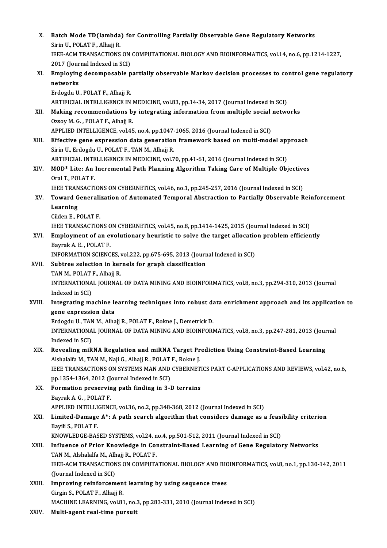| Х.                | Batch Mode TD(lambda) for Controlling Partially Observable Gene Regulatory Networks                 |
|-------------------|-----------------------------------------------------------------------------------------------------|
|                   | Sirin U., POLAT F., Alhajj R.                                                                       |
|                   | IEEE-ACM TRANSACTIONS ON COMPUTATIONAL BIOLOGY AND BIOINFORMATICS, vol.14, no.6, pp.1214-1227,      |
|                   | 2017 (Journal Indexed in SCI)                                                                       |
| XI.               | Employing decomposable partially observable Markov decision processes to control gene regulatory    |
|                   | networks                                                                                            |
|                   | Erdogdu U., POLAT F., Alhajj R.                                                                     |
|                   | ARTIFICIAL INTELLIGENCE IN MEDICINE, vol.83, pp.14-34, 2017 (Journal Indexed in SCI)                |
| XII.              | Making recommendations by integrating information from multiple social networks                     |
|                   | Ozsoy M. G., POLAT F., Alhajj R.                                                                    |
|                   | APPLIED INTELLIGENCE, vol.45, no.4, pp.1047-1065, 2016 (Journal Indexed in SCI)                     |
| XIII.             | Effective gene expression data generation framework based on multi-model approach                   |
|                   | Sirin U., Erdogdu U., POLAT F., TAN M., Alhajj R.                                                   |
|                   | ARTIFICIAL INTELLIGENCE IN MEDICINE, vol.70, pp.41-61, 2016 (Journal Indexed in SCI)                |
| XIV.              | MOD* Lite: An Incremental Path Planning Algorithm Taking Care of Multiple Objectives                |
|                   | Oral T., POLAT F.                                                                                   |
|                   | IEEE TRANSACTIONS ON CYBERNETICS, vol.46, no.1, pp.245-257, 2016 (Journal Indexed in SCI)           |
| XV.               | Toward Generalization of Automated Temporal Abstraction to Partially Observable Reinforcement       |
|                   | Learning                                                                                            |
|                   | Cilden E., POLAT F                                                                                  |
|                   | IEEE TRANSACTIONS ON CYBERNETICS, vol.45, no.8, pp.1414-1425, 2015 (Journal Indexed in SCI)         |
| XVI.              | Employment of an evolutionary heuristic to solve the target allocation problem efficiently          |
|                   | Bayrak A E, POLAT F.                                                                                |
|                   | INFORMATION SCIENCES, vol.222, pp.675-695, 2013 (Journal Indexed in SCI)                            |
| XVII.             | Subtree selection in kernels for graph classification                                               |
|                   | TAN M., POLAT F., Alhajj R.                                                                         |
|                   | INTERNATIONAL JOURNAL OF DATA MINING AND BIOINFORMATICS, vol.8, no.3, pp.294-310, 2013 (Journal     |
|                   | Indexed in SCI)                                                                                     |
| XVIII.            | Integrating machine learning techniques into robust data enrichment approach and its application to |
|                   | gene expression data                                                                                |
|                   | Erdogdu U., TAN M., Alhajj R., POLAT F., Rokne J., Demetrick D.                                     |
|                   | INTERNATIONAL JOURNAL OF DATA MINING AND BIOINFORMATICS, vol.8, no.3, pp.247-281, 2013 (Journal     |
|                   | Indexed in SCI)                                                                                     |
| XIX.              | Revealing miRNA Regulation and miRNA Target Prediction Using Constraint-Based Learning              |
|                   | Alshalalfa M., TAN M., Naji G., Alhajj R., POLAT F., Rokne J.                                       |
|                   | IEEE TRANSACTIONS ON SYSTEMS MAN AND CYBERNETICS PART C-APPLICATIONS AND REVIEWS, vol.42, no.6,     |
|                   | pp.1354-1364, 2012 (Journal Indexed in SCI)                                                         |
| XX.               | Formation preserving path finding in 3-D terrains                                                   |
|                   | Bayrak A. G., POLAT F.                                                                              |
|                   | APPLIED INTELLIGENCE, vol.36, no.2, pp.348-368, 2012 (Journal Indexed in SCI)                       |
| XXI.              | Limited-Damage A*: A path search algorithm that considers damage as a feasibility criterion         |
|                   | Bayili S., POLAT F.                                                                                 |
|                   | KNOWLEDGE-BASED SYSTEMS, vol.24, no.4, pp.501-512, 2011 (Journal Indexed in SCI)                    |
| XXII.             | Influence of Prior Knowledge in Constraint-Based Learning of Gene Regulatory Networks               |
|                   | TAN M., Alshalalfa M., Alhajj R., POLAT F.                                                          |
|                   | IEEE-ACM TRANSACTIONS ON COMPUTATIONAL BIOLOGY AND BIOINFORMATICS, vol.8, no.1, pp.130-142, 2011    |
|                   | (Journal Indexed in SCI)                                                                            |
| XXIII.            | Improving reinforcement learning by using sequence trees                                            |
|                   | Girgin S., POLAT F., Alhajj R.                                                                      |
|                   | MACHINE LEARNING, vol.81, no.3, pp.283-331, 2010 (Journal Indexed in SCI)                           |
| VVIV <sub>I</sub> | Multi agant nool time nunguit                                                                       |

XXIV. Multi-agent real-time pursuit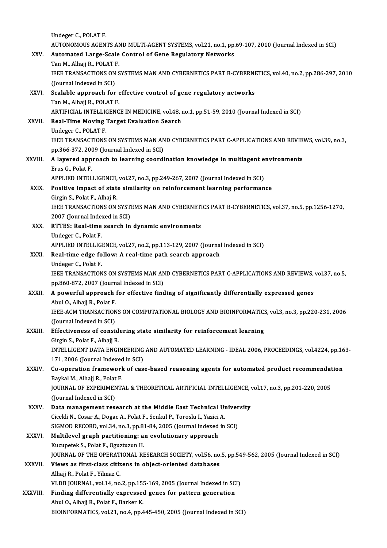|               | Undeger C., POLAT F                                                                                  |
|---------------|------------------------------------------------------------------------------------------------------|
|               | AUTONOMOUS AGENTS AND MULTI-AGENT SYSTEMS, vol.21, no.1, pp.69-107, 2010 (Journal Indexed in SCI)    |
| XXV.          | Automated Large-Scale Control of Gene Regulatory Networks                                            |
|               | Tan M., Alhajj R., POLAT F.                                                                          |
|               | IEEE TRANSACTIONS ON SYSTEMS MAN AND CYBERNETICS PART B-CYBERNETICS, vol.40, no.2, pp.286-297, 2010  |
|               | (Journal Indexed in SCI)                                                                             |
| XXVI.         | Scalable approach for effective control of gene regulatory networks                                  |
|               | Tan M., Alhajj R., POLAT F.                                                                          |
|               | ARTIFICIAL INTELLIGENCE IN MEDICINE, vol.48, no.1, pp.51-59, 2010 (Journal Indexed in SCI)           |
| XXVII.        | Real-Time Moving Target Evaluation Search                                                            |
|               | Undeger C., POLAT F.                                                                                 |
|               | IEEE TRANSACTIONS ON SYSTEMS MAN AND CYBERNETICS PART C-APPLICATIONS AND REVIEWS, vol.39, no.3,      |
|               | pp.366-372, 2009 (Journal Indexed in SCI)                                                            |
| XXVIII.       | A layered approach to learning coordination knowledge in multiagent environments                     |
|               | Erus G., Polat F.                                                                                    |
|               | APPLIED INTELLIGENCE, vol.27, no.3, pp.249-267, 2007 (Journal Indexed in SCI)                        |
| XXIX.         | Positive impact of state similarity on reinforcement learning performance                            |
|               | Girgin S., Polat F., Alhaj R.                                                                        |
|               | IEEE TRANSACTIONS ON SYSTEMS MAN AND CYBERNETICS PART B-CYBERNETICS, vol.37, no.5, pp.1256-1270,     |
|               | 2007 (Journal Indexed in SCI)                                                                        |
| XXX.          | RTTES: Real-time search in dynamic environments                                                      |
|               | Undeger C., Polat F.                                                                                 |
|               | APPLIED INTELLIGENCE, vol.27, no.2, pp.113-129, 2007 (Journal Indexed in SCI)                        |
| XXXI.         | Real-time edge follow: A real-time path search approach                                              |
|               | Undeger C., Polat F.                                                                                 |
|               | IEEE TRANSACTIONS ON SYSTEMS MAN AND CYBERNETICS PART C-APPLICATIONS AND REVIEWS, vol.37, no.5,      |
|               | pp.860-872, 2007 (Journal Indexed in SCI)                                                            |
| XXXII.        | A powerful approach for effective finding of significantly differentially expressed genes            |
|               | Abul O., Alhajj R., Polat F.                                                                         |
|               | IEEE-ACM TRANSACTIONS ON COMPUTATIONAL BIOLOGY AND BIOINFORMATICS, vol.3, no.3, pp.220-231, 2006     |
|               | (Journal Indexed in SCI)                                                                             |
| XXXIII.       | Effectiveness of considering state similarity for reinforcement learning                             |
|               | Girgin S, Polat F, Alhajj R.                                                                         |
|               | INTELLIGENT DATA ENGINEERING AND AUTOMATED LEARNING - IDEAL 2006, PROCEEDINGS, vol.4224, pp.163-     |
|               | 171, 2006 (Journal Indexed in SCI)                                                                   |
| XXXIV.        | Co-operation framework of case-based reasoning agents for automated product recommendation           |
|               | Baykal M, Alhajj R, Polat F.                                                                         |
|               | JOURNAL OF EXPERIMENTAL & THEORETICAL ARTIFICIAL INTELLIGENCE, vol.17, no.3, pp.201-220, 2005        |
|               | (Journal Indexed in SCI)                                                                             |
| <b>XXXV</b>   | Data management research at the Middle East Technical University                                     |
|               | Cicekli N., Cosar A., Dogac A., Polat F., Senkul P., Toroslu I., Yazici A.                           |
|               | SIGMOD RECORD, vol.34, no.3, pp.81-84, 2005 (Journal Indexed in SCI)                                 |
| <b>XXXVI</b>  | Multilevel graph partitioning: an evolutionary approach                                              |
|               | Kucupetek S., Polat F., Oguztuzun H.                                                                 |
|               | JOURNAL OF THE OPERATIONAL RESEARCH SOCIETY, vol.56, no.5, pp.549-562, 2005 (Journal Indexed in SCI) |
| <b>XXXVII</b> | Views as first-class citizens in object-oriented databases                                           |
|               | Alhajj R., Polat F., Yilmaz C.                                                                       |
|               | VLDB JOURNAL, vol.14, no.2, pp.155-169, 2005 (Journal Indexed in SCI)                                |
| XXXVIII.      | Finding differentially expressed genes for pattern generation                                        |
|               | Abul O., Alhajj R., Polat F., Barker K.                                                              |
|               | BIOINFORMATICS, vol.21, no.4, pp.445-450, 2005 (Journal Indexed in SCI)                              |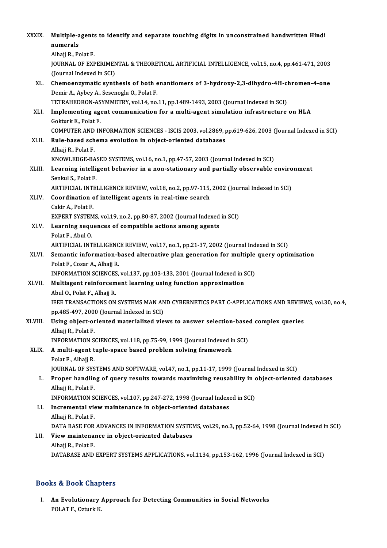| XXXIX.  | Multiple-agents to identify and separate touching digits in unconstrained handwritten Hindi<br>numerals                         |
|---------|---------------------------------------------------------------------------------------------------------------------------------|
|         | Alhajj R., Polat F.                                                                                                             |
|         | JOURNAL OF EXPERIMENTAL & THEORETICAL ARTIFICIAL INTELLIGENCE, vol.15, no.4, pp.461-471, 2003                                   |
|         | (Journal Indexed in SCI)                                                                                                        |
| XL.     | Chemoenzymatic synthesis of both enantiomers of 3-hydroxy-2,3-dihydro-4H-chromen-4-one                                          |
|         | Demir A., Aybey A., Sesenoglu O., Polat F.                                                                                      |
|         | TETRAHEDRON-ASYMMETRY, vol.14, no.11, pp.1489-1493, 2003 (Journal Indexed in SCI)                                               |
| XLI.    | Implementing agent communication for a multi-agent simulation infrastructure on HLA<br>Gokturk E, Polat F.                      |
|         | COMPUTER AND INFORMATION SCIENCES - ISCIS 2003, vol.2869, pp.619-626, 2003 (Journal Indexed in SCI)                             |
| XLII.   | Rule-based schema evolution in object-oriented databases                                                                        |
|         | Alhajj R., Polat F.                                                                                                             |
|         | KNOWLEDGE-BASED SYSTEMS, vol.16, no.1, pp.47-57, 2003 (Journal Indexed in SCI)                                                  |
| XLIII.  | Learning intelligent behavior in a non-stationary and partially observable environment                                          |
|         | Senkul S, Polat F.                                                                                                              |
|         | ARTIFICIAL INTELLIGENCE REVIEW, vol.18, no.2, pp.97-115, 2002 (Journal Indexed in SCI)                                          |
| XLIV.   | Coordination of intelligent agents in real-time search                                                                          |
|         | Cakir A., Polat F.                                                                                                              |
|         | EXPERT SYSTEMS, vol.19, no.2, pp.80-87, 2002 (Journal Indexed in SCI)                                                           |
| XLV.    | Learning sequences of compatible actions among agents                                                                           |
|         | Polat F, Abul O.                                                                                                                |
|         | ARTIFICIAL INTELLIGENCE REVIEW, vol.17, no.1, pp.21-37, 2002 (Journal Indexed in SCI)                                           |
| XLVI.   | Semantic information-based alternative plan generation for multiple query optimization                                          |
|         | Polat F., Cosar A., Alhajj R.                                                                                                   |
|         | INFORMATION SCIENCES, vol.137, pp.103-133, 2001 (Journal Indexed in SCI)                                                        |
| XLVII.  | Multiagent reinforcement learning using function approximation                                                                  |
|         | Abul O, Polat F, Alhajj R                                                                                                       |
|         | IEEE TRANSACTIONS ON SYSTEMS MAN AND CYBERNETICS PART C-APPLICATIONS AND REVIEWS, vol.30, no.4,                                 |
| XLVIII. | pp.485-497, 2000 (Journal Indexed in SCI)<br>Using object-oriented materialized views to answer selection-based complex queries |
|         | Alhajj R., Polat F.                                                                                                             |
|         | INFORMATION SCIENCES, vol.118, pp.75-99, 1999 (Journal Indexed in SCI)                                                          |
| XLIX.   | A multi-agent tuple-space based problem solving framework                                                                       |
|         | Polat F, Alhajj R.                                                                                                              |
|         | JOURNAL OF SYSTEMS AND SOFTWARE, vol.47, no.1, pp.11-17, 1999 (Journal Indexed in SCI)                                          |
| L.      | Proper handling of query results towards maximizing reusability in object-oriented databases                                    |
|         | Alhajj R., Polat F.                                                                                                             |
|         | INFORMATION SCIENCES, vol.107, pp.247-272, 1998 (Journal Indexed in SCI)                                                        |
| LI.     | Incremental view maintenance in object-oriented databases                                                                       |
|         | Alhajj R., Polat F.                                                                                                             |
|         | DATA BASE FOR ADVANCES IN INFORMATION SYSTEMS, vol.29, no.3, pp.52-64, 1998 (Journal Indexed in SCI)                            |
| LII.    | View maintenance in object-oriented databases                                                                                   |
|         | Alhajj R., Polat F.                                                                                                             |
|         | DATABASE AND EXPERT SYSTEMS APPLICATIONS, vol.1134, pp.153-162, 1996 (Journal Indexed in SCI)                                   |
|         |                                                                                                                                 |

### Books&Book Chapters

ooks & Book Chapters<br>I. An Evolutionary Approach for Detecting Communities in Social Networks<br>ROLATE Otturk K No. 2008 Shap<br>An Evolutionary<br>POLAT F., Ozturk K.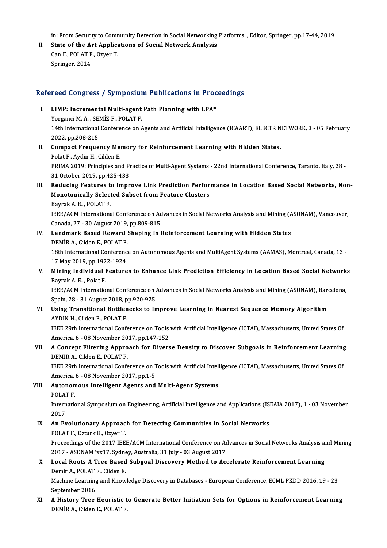in: From Security to Community Detection in Social Networking Platforms, , Editor, Springer, pp.17-44, 2019

II. State of the Art Applications of Social Network Analysis in: From Security to Comr<br>State of the Art Applica<br>Can F., POLAT F., Ozyer T.<br>Springer 2014 State of the Al<br>Can F., POLAT F<br>Springer, 2014

# springer, 2014<br>Refereed Congress / Symposium Publications in Proceedings

- efereed Congress / Symposium Publications in Prock<br>I. LIMP: Incremental Multi-agent Path Planning with LPA\* I. LIMP: Incremental Multi-agent Path Planning with LPA\*<br>Yorganci M. A., SEMİZ F., POLAT F. LIMP: Incremental Multi-agent Path Planning with LPA\*<br>Yorganci M. A. , SEMİZ F., POLAT F.<br>14th International Conference on Agents and Artificial Intelligence (ICAART), ELECTR NETWORK, 3 - 05 February<br>2022. np.209.215 Yorganci M. A. , SE<br>14th International<br>2022, pp.208-215<br>Compact Fraque 14th International Conference on Agents and Artificial Intelligence (ICAART), ELECTR N<br>2022, pp.208-215<br>II. Compact Frequency Memory for Reinforcement Learning with Hidden States.<br>Relat E. Ardin H. Gilden E
- 2022, pp.208-215<br>II. Compact Frequency Memory for Reinforcement Learning with Hidden States.<br>Polat F., Aydin H., Cilden E. Compact Frequency Memory for Reinforcement Learning with Hidden States.<br>Polat F., Aydin H., Cilden E.<br>PRIMA 2019: Principles and Practice of Multi-Agent Systems - 22nd International Conference, Taranto, Italy, 28<br>21 Octobe Polat F., Aydin H., Cilden E.<br>PRIMA 2019: Principles and P1<br>31 October 2019, pp.425-433<br>Podusing Footunes to Imp. I I. Reducing Features to Improve Link Prediction Performance in Location Based Social Networks, Non-
- 31 October 2019, pp.425-433<br>Reducing Features to Improve Link Prediction Perfor<br>Monotonically Selected Subset from Feature Clusters<br>Paymak A. E., POLATE Reducing Features<br>Monotonically Select<br>Bayrak A.E., POLAT F.<br>IEEE/ACM Internations Monotonically Selected Subset from Feature Clusters<br>Bayrak A. E. , POLAT F.<br>IEEE/ACM International Conference on Advances in Social Networks Analysis and Mining (ASONAM), Vancouver,<br>Canada. 27 – 20 August 2019, pp.809-815 Bayrak A. E. , POLAT F.<br>IEEE/ACM International Conference on Ad<br>Canada, 27 - 30 August 2019, pp.809-815<br>Landmark Based Boward Shaning in I Canada, 27 - 30 August 2019, pp.809-815
- IV. Landmark Based Reward Shaping in Reinforcement Learning with Hidden States Landmark Based Reward Shaping in Reinforcement Learning with Hidden States<br>DEMİR A., Cilden E., POLAT F.<br>18th International Conference on Autonomous Agents and MultiAgent Systems (AAMAS), Montreal, Canada, 13 -<br>17 May 2019 DEMİR A., Cilden E., POLAT F.<br>18th International Conferenc<br>17 May 2019, pp.1922-1924<br>Mining Individual Feature

### 18th International Conference on Autonomous Agents and MultiAgent Systems (AAMAS), Montreal, Canada, 13 -<br>17 May 2019, pp.1922-1924<br>W. Mining Individual Features to Enhance Link Prediction Efficiency in Location Based Soci 17 May 2019, pp.1922-1924<br>Mining Individual Features to Enhance Link Prediction Efficiency in Location Based Social Network:<br>Bayrak A. E. , Polat F.<br>IEEE/ACM International Conference on Advances in Social Networks Analysis V. Mining Individual Features to Enhance Link Prediction Efficiency in Location Based Social Networks

Spain,28 -31August2018,pp.920-925 IEEE/ACM International Conference on Advances in Social Networks Analysis and Mining (ASONAM), Bard<br>Spain, 28 - 31 August 2018, pp.920-925<br>VI. Using Transitional Bottlenecks to Improve Learning in Nearest Sequence Memory A

Spain, 28 - 31 August 2018, p<br>Using Transitional Bottlen<br>AYDIN H., Cilden E., POLAT F.<br>IEEE 20th International Conf Using Transitional Bottlenecks to Improve Learning in Nearest Sequence Memory Algorithm<br>AYDIN H., Cilden E., POLAT F.<br>IEEE 29th International Conference on Tools with Artificial Intelligence (ICTAI), Massachusetts, United

AYDIN H., Cilden E., POLAT F.<br>IEEE 29th International Conference on Tools with Artificial Intelligence (ICTAI), Massachusetts, United States Of<br>America, 6 - 08 November 2017, pp.147-152 IEEE 29th International Conference on Tools with Artificial Intelligence (ICTAI), Massachusetts, United States Of<br>America, 6 - 08 November 2017, pp.147-152<br>VII. A Concept Filtering Approach for Diverse Density to Discover

# America, 6 - 08 November 20<br>**A Concept Filtering Appro<br>DEMİR A., Cilden E., POLAT F.**<br>JEEE 20th International Confe A Concept Filtering Approach for Diverse Density to Discover Subgoals in Reinforcement Learning<br>DEMİR A., Cilden E., POLAT F.<br>IEEE 29th International Conference on Tools with Artificial Intelligence (ICTAI), Massachusetts,

DEMİR A., Cilden E., POLAT F.<br>IEEE 29th International Conference on Tools with Artificial Intelligence (ICTAI), Massachusetts, United States Of<br>America, 6 - 08 November 2017, pp.1-5 IEEE 29th International Conference on Tools with Artificial Intell<br>America, 6 - 08 November 2017, pp.1-5<br>VIII. Autonomous Intelligent Agents and Multi-Agent Systems<br>POLATE

America,<br>**Autonom**<br>POLAT F.<br>Internatio

Autonomous Intelligent Agents and Multi-Agent Systems<br>POLAT F.<br>International Symposium on Engineering, Artificial Intelligence and Applications (ISEAIA 2017), 1 - 03 November<br>2017 POLAT<br>Intern<br>2017<br>An Eu International Symposium on Engineering, Artificial Intelligence and Applications (IS<br>2017<br>IX. An Evolutionary Approach for Detecting Communities in Social Networks<br>POLATE OF UNK COUNT T

## 2017<br>An Evolutionary Approac<br>POLAT F., Ozturk K., Ozyer T.<br>Proceedings of the 2017 IEE An Evolutionary Approach for Detecting Communities in Social Networks<br>POLAT F., Ozturk K., Ozyer T.<br>Proceedings of the 2017 IEEE/ACM International Conference on Advances in Social Networks Analysis and Mining<br>2017 - ASONAM 2018 - POLAT F., Ozturk K., Ozyer T.<br>Proceedings of the 2017 IEEE/ACM International Conference on Actional 2017<br>2017 - ASONAM 'xx17, Sydney, Australia, 31 July - 03 August 2017<br>Logal Boots A. Tree Based Subseal Disseyery,

## Proceedings of the 2017 IEEE/ACM International Conference on Advances in Social Networks Analysis an 2017 - ASONAM 'xx17, Sydney, Australia, 31 July - 03 August 2017<br>X. Local Roots A Tree Based Subgoal Discovery Method to 2017 - ASONAM 'xx17, Sydney, Australia, 31 July - 03 August 2017<br>X. Local Roots A Tree Based Subgoal Discovery Method to Accelerate Reinforcement Learning<br>Demir A., POLAT F., Cilden E. Local Roots A Tree Based Subgoal Discovery Method to Accelerate Reinforcement Learning<br>Demir A., POLAT F., Cilden E.<br>Machine Learning and Knowledge Discovery in Databases - European Conference, ECML PKDD 2016, 19 - 23<br>Sent

Demir A., POLAT<br>Machine Learning<br>September 2016<br>A History Tree Machine Learning and Knowledge Discovery in Databases - European Conference, ECML PKDD 2016, 19 - 23<br>September 2016<br>XI. A History Tree Heuristic to Generate Better Initiation Sets for Options in Reinforcement Learning<br>DEMI

September 2016<br><mark>A History Tree Heuristic t</mark><br>DEMİR A., Cilden E., POLAT F.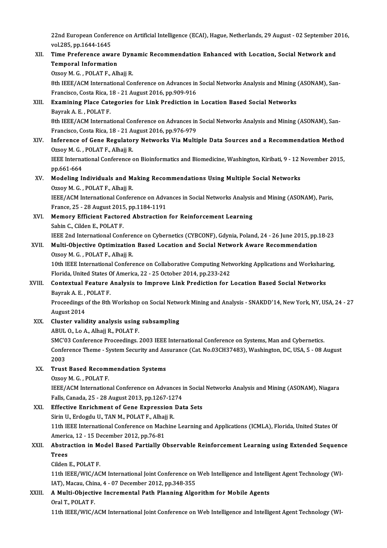22nd European Conference on Artificial Intelligence (ECAI), Hague, Netherlands, 29 August - 02 September 2016,<br>vel 385, pp.1644, 1645 22nd European Confer<br>vol.285, pp.1644-1645<br>Time Preference sure 22nd European Conference on Artificial Intelligence (ECAI), Hague, Netherlands, 29 August - 02 September 2<br>vol.285, pp.1644-1645<br>XII. Time Preference aware Dynamic Recommendation Enhanced with Location, Social Network and<br>

vol.285, pp.1644-1645<br>Time Preference aware Dynamic Recommendation Enhanced with Location, Social Network and<br>Temporal Information Ozsoy M. G., POLAT F., Alhajj R. Temporal Information<br>Ozsoy M. G. , POLAT F., Alhajj R.<br>8th IEEE/ACM International Conference on Advances in Social Networks Analysis and Mining (ASONAM), San-<br>Francisco Costa Risa 18, 21 August 2016, an 909,916

Ozsoy M. G. , POLAT F., Alhajj R.<br>8th IEEE/ACM International Conference on Advances in<br>Francisco, Costa Rica, 18 - 21 August 2016, pp.909-916<br>Examining Blase Categories for Link Brediction in Francisco, Costa Rica, 18 - 21 August 2016, pp.909-916

- XIII. Examining Place Categories for Link Prediction in Location Based Social Networks<br>Bayrak A, E., POLAT F. Examining Place Categories for Link Prediction in Location Based Social Networks<br>Bayrak A. E. , POLAT F.<br>8th IEEE/ACM International Conference on Advances in Social Networks Analysis and Mining (ASONAM), San-<br>Francisco Cos Bayrak A. E. , POLAT F.<br>8th IEEE/ACM International Conference on Advances in<br>Francisco, Costa Rica, 18 - 21 August 2016, pp.976-979<br>Inference of Cone Bosulatory Networks Vie Multi
- 8th IEEE/ACM International Conference on Advances in Social Networks Analysis and Mining (ASONAM), San-<br>Francisco, Costa Rica, 18 21 August 2016, pp.976-979<br>XIV. Inference of Gene Regulatory Networks Via Multiple Data So Francisco, Costa Rica, 18 - 21 August 2016, pp.976-979<br>Inference of Gene Regulatory Networks Via Multiple Data Sources and a Recommendation Method<br>Ozsoy M. G. , POLAT F., Alhajj R. Inference of Gene Regulatory Networks Via Multiple Data Sources and a Recommendation Method<br>Ozsoy M. G. , POLAT F., Alhajj R.<br>IEEE International Conference on Bioinformatics and Biomedicine, Washington, Kiribati, 9 - 12 No Ozsoy M. G. ,<br>IEEE Interna<br>pp.661-664<br>Modeling J

IEEE International Conference on Bioinformatics and Biomedicine, Washington, Kiribati, 9 - 12 I<br>pp.661-664<br>XV. Modeling Individuals and Making Recommendations Using Multiple Social Networks<br>OFROU M.C. POLATE Albaii P.

pp.661-664<br>XV. Modeling Individuals and Making Recommendations Using Multiple Social Networks<br>Ozsoy M. G. , POLAT F., Alhajj R.

IEEE/ACM International Conference on Advances in Social Networks Analysis and Mining (ASONAM), Paris, Ozsoy M. G. , POLAT F., Alhajj R.<br>IEEE/ACM International Conference on Adva<br>France, 25 - 28 August 2015, pp.1184-1191<br>Momouu Efficiont Eastaned Abstrastion

XVI. Memory Efficient Factored Abstraction for Reinforcement Learning France, 25 - 28 August 2015<br>Memory Efficient Factor<br>Sahin C., Cilden E., POLAT F.<br><sup>IEEE 2nd International Conf</sup> IEEE 2nd International Conference on Cybernetics (CYBCONF), Gdynia, Poland, 24 - 26 June 2015, pp.18-23 Sahin C., Cilden E., POLAT F.<br>IEEE 2nd International Conference on Cybernetics (CYBCONF), Gdynia, Poland, 24 - 26 June 2015, pp.<br>XVII. Multi-Objective Optimization Based Location and Social Network Aware Recommendation<br>Ors

# IEEE 2nd International Confere<br>Multi-Objective Optimization<br>Ozsoy M. G. , POLAT F., Alhajj R.<br>10th IEEE International Confere Multi-Objective Optimization Based Location and Social Network Aware Recommendation<br>Ozsoy M. G. , POLAT F., Alhajj R.<br>10th IEEE International Conference on Collaborative Computing Networking Applications and Worksharing,<br>F

Ozsoy M. G. , POLAT F., Alhajj R.<br>10th IEEE International Conference on Collaborative Computing Net<br>Florida, United States Of America, 22 - 25 October 2014, pp.233-242<br>Contextual Feeture Analysis to Improve Link Prodiction 10th IEEE International Conference on Collaborative Computing Networking Applications and Workshari<br>Florida, United States Of America, 22 - 25 October 2014, pp.233-242<br>XVIII. Contextual Feature Analysis to Improve Link Pre

## Florida, United States Of America, 22 - 25 October 2014, pp.233-242<br>Contextual Feature Analysis to Improve Link Prediction for Location Based Social Networks<br>Bayrak A. E. , POLAT F. Contextual Feature Analysis to Improve Link Prediction for Location Based Social Networks<br>Bayrak A. E. , POLAT F.<br>Proceedings of the 8th Workshop on Social Network Mining and Analysis - SNAKDD'14, New York, NY, USA, 24 - 2

Bayrak A. E. ,<br>Proceedings o<br>August 2014<br>Cluster valie Proceedings of the 8th Workshop on Social Network<br>August 2014<br>XIX. Cluster validity analysis using subsampling<br>APIU O Le A Albaii P, POLATE

August 2014<br>Cluster validity analysis using subsampling<br>ABUL O., Lo A., Alhajj R., POLAT F.

Cluster validity analysis using subsampling<br>ABUL O., Lo A., Alhajj R., POLAT F.<br>SMC'03 Conference Proceedings. 2003 IEEE International Conference on Systems, Man and Cybernetics.<br>Conference Theme...System Sequrity and Assu ABUL O., Lo A., Alhajj R., POLAT F.<br>SMC'03 Conference Proceedings. 2003 IEEE International Conference on Systems, Man and Cybernetics.<br>Conference Theme - System Security and Assurance (Cat. No.03CH37483), Washington, DC, U SMC'O<br>Confer<br>2003<br>Truet Conference Theme - System Security and Ass<br>2003<br>XX. Trust Based Recommendation Systems<br>2020: M.C. POLATE

# 2003<br>Trust Based Recomi<br>Ozsoy M. G. , POLAT F.<br>IEEE / ACM Internation

Trust Based Recommendation Systems<br>Ozsoy M. G. , POLAT F.<br>IEEE/ACM International Conference on Advances in Social Networks Analysis and Mining (ASONAM), Niagara<br>Falls Canada. 25 – 28 August 2013, np.1267-1274 Ozsoy M. G. , POLAT F.<br>IEEE/ACM International Conference on Advances i<br>Falls, Canada, 25 - 28 August 2013, pp.1267-1274<br>Effective Enrichment of Cone Expression Det IEEE/ACM International Conference on Advances in Social<br>Falls, Canada, 25 - 28 August 2013, pp.1267-1274<br>XXI. Effective Enrichment of Gene Expression Data Sets<br>Sinin H. Erdordu H. TAN M. POLAT E. Albaii P. Falls, Canada, 25 - 28 August 2013, pp.1267-12<br>Effective Enrichment of Gene Expression<br>Sirin U., Erdogdu U., TAN M., POLAT F., Alhajj R.<br>11th IEEE International Conference on Machine

11th IEFective Enrichment of Gene Expression Data Sets<br>Sirin U., Erdogdu U., TAN M., POLAT F., Alhajj R.<br>11th IEEE International Conference on Machine Learning and Applications (ICMLA), Florida, United States Of<br>America, 1 Sirin U., Erdogdu U., TAN M., POLAT F., Alhaj<br>11th IEEE International Conference on Mac<br>America, 12 - 15 December 2012, pp.76-81<br>Abstrastion in Model Besed Bartially O 11th IEEE International Conference on Machine Learning and Applications (ICMLA), Florida, United States Of<br>America, 12 - 15 December 2012, pp.76-81<br>XXII. Abstraction in Model Based Partially Observable Reinforcement Learni

# Americ<br>Abstra<br>Trees<br>Cilder **Abstraction in M<sup>2</sup><br>Trees<br>Cilden E., POLAT F.<br>11th JEEE (WIC / AC**

Trees<br>Cilden E., POLAT F.<br>11th IEEE/WIC/ACM International Joint Conference on Web Intelligence and Intelligent Agent Technology (WI-<br>JAT), Magay, China 4, 07 Desember 2012, np 348, 355 Cilden E., POLAT F.<br>11th IEEE/WIC/ACM International Joint Conference on<br>IAT), Macau, China, 4 - 07 December 2012, pp.348-355<br>A Multi Objective Insteamental Peth Planning Algo IAT), Macau, China, 4 - 07 December 2012, pp.348-355

XXIII. A Multi-Objective Incremental Path Planning Algorithm for Mobile Agents<br>Oral T., POLAT F.

11th IEEE/WIC/ACM International Joint Conference on Web Intelligence and Intelligent Agent Technology (WI-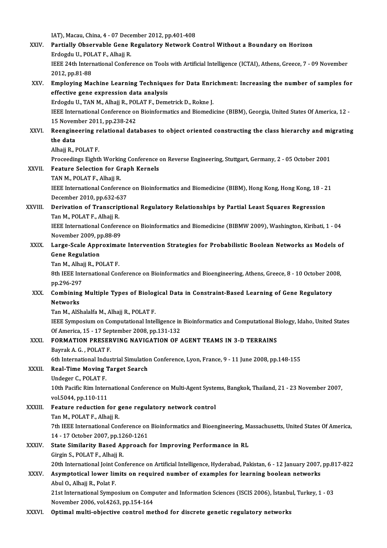IAT), Macau, China, 4 - 07 December 2012, pp.401-408<br>Pertially, Observable Cane Begylstowy Natwork Ca XXIV. Partially Observable Gene Regulatory Network Control Without a Boundary on Horizon<br>Erdogdu U., POLAT F., Alhajj R. IAT), Macau, China, 4 - 07 Dece<br><mark>Partially Observable Gene I</mark><br>Erdogdu U., POLAT F., Alhajj R.<br><sup>IEEE 24th International Confor</sup> Partially Observable Gene Regulatory Network Control Without a Boundary on Horizon<br>Erdogdu U., POLAT F., Alhajj R.<br>IEEE 24th International Conference on Tools with Artificial Intelligence (ICTAI), Athens, Greece, 7 - 09 No Erdogdu U., POL<br>IEEE 24th Interr<br>2012, pp.81-88<br>Emploving Ma IEEE 24th International Conference on Tools with Artificial Intelligence (ICTAI), Athens, Greece, 7 - 09 November<br>2012, pp.81-88<br>XXV. Employing Machine Learning Techniques for Data Enrichment: Increasing the number of samp 2012, pp.81-88<br>Employing Machine Learning Technique<br>effective gene expression data analysis<br>Erdogdu U. TANM Albaii P. POLATE, Dema Employing Machine Learning Techniques for Data Enri<br>effective gene expression data analysis<br>Erdogdu U., TAN M., Alhajj R., POLAT F., Demetrick D., Rokne J.<br>IEEE International Conference on Bioinfermatics and Biomedi effective gene expression data analysis<br>Erdogdu U., TAN M., Alhajj R., POLAT F., Demetrick D., Rokne J.<br>IEEE International Conference on Bioinformatics and Biomedicine (BIBM), Georgia, United States Of America, 12 -<br>15 Nov Erdogdu U., TAN M., Alhajj R., POI<br>IEEE International Conference or<br>15 November 2011, pp.238-242<br>Beongineering relational date IEEE International Conference on Bioinformatics and Biomedicine (BIBM), Georgia, United States Of America, 12 -<br>15 November 2011, pp.238-242<br>XXVI. Reengineering relational databases to object oriented constructing the clas 15 Novem<br>Reengine<br>the data<br>Albaii B. I Reengineering re<br>the data<br>Alhajj R., POLAT F.<br>Preceedings Eight the data<br>Alhajj R., POLAT F.<br>Proceedings Eighth Working Conference on Reverse Engineering, Stuttgart, Germany, 2 - 05 October 2001<br>Eesture Selestian for Craph Kernels Alhajj R., POLAT F.<br>Proceedings Eighth Working Conference<br>XXVII. Feature Selection for Graph Kernels Proceedings Eighth Workin<br>Feature Selection for G1<br>TAN M., POLAT F., Alhajj R.<br>IEEE International Confore Feature Selection for Graph Kernels<br>TAN M., POLAT F., Alhajj R.<br>IEEE International Conference on Bioinformatics and Biomedicine (BIBM), Hong Kong, Hong Kong, 18 - 21<br>Desember 2010, pp.622,627 TAN M., POLAT F., Alhajj R.<br>IEEE International Conference<br>December 2010, pp.632-637<br>Denivation of Transcriptio IEEE International Conference on Bioinformatics and Biomedicine (BIBM), Hong Kong, Hong Kong, 18 - 2<br>December 2010, pp.632-637<br>XXVIII. Derivation of Transcriptional Regulatory Relationships by Partial Least Squares Regress December 2010, pp.632-6<br>Derivation of Transcrip<br>Tan M., POLAT F., Alhajj R.<br>IEEE International Confere Derivation of Transcriptional Regulatory Relationships by Partial Least Squares Regression<br>Tan M., POLAT F., Alhajj R.<br>IEEE International Conference on Bioinformatics and Biomedicine (BIBMW 2009), Washington, Kiribati, 1 -Tan M., POLAT F., Alhajj R.<br>IEEE International Conference on Bioinformatics and Biomedicine (BIBMW 2009), Washington, Kiribati, 1 - 04<br>November 2009, pp.88-89 IEEE International Conference on Bioinformatics and Biomedicine (BIBMW 2009), Washington, Kiribati, 1 - 04<br>November 2009, pp.88-89<br>XXIX. Large-Scale Approximate Intervention Strategies for Probabilistic Boolean Networks as November 2009, p<br>Large-Scale Appr<br>Gene Regulation<br>Tan M. Albaii B. BC Large-Scale Approxima<br>Gene Regulation<br>Tan M., Alhajj R., POLAT F.<br><sup>9th IEEE International Con</sup> 6ene Regulation<br>Tan M., Alhajj R., POLAT F.<br>8th IEEE International Conference on Bioinformatics and Bioengineering, Athens, Greece, 8 - 10 October 2008, Tan M., Alhajj R., POLAT F. 8th IEEE International Conference on Bioinformatics and Bioengineering, Athens, Greece, 8 - 10 October 20<br>pp.296-297<br>XXX. Combining Multiple Types of Biological Data in Constraint-Based Learning of Gene Regulatory<br>Networks pp.296-297<br>Combining Multiple Types of Biolog<br>Networks<br>Tan M., AlShalalfa M., Alhajj R., POLAT F. Combining Multiple Types of Biolog<br>Networks<br>Tan M., AlShalalfa M., Alhajj R., POLAT F.<br>IEEE Symposium on Computational Intel Networks<br>Tan M., AlShalalfa M., Alhajj R., POLAT F.<br>IEEE Symposium on Computational Intelligence in Bioinformatics and Computational Biology, Idaho, United States<br>Of America 15, 17 Sentember 2008, np.121,122 Tan M., AlShalalfa M., Alhajj R., POLAT F.<br>IEEE Symposium on Computational Intelligence in<br>Of America, 15 - 17 September 2008, pp.131-132<br>EORMATION BRESERVING NAVIGATION OF IEEE Symposium on Computational Intelligence in Bioinformatics and Computational B<br>Of America, 15 - 17 September 2008, pp.131-132<br>XXXI. FORMATION PRESERVING NAVIGATION OF AGENT TEAMS IN 3-D TERRAINS Of America, 15 - 17 Sep<br>FORMATION PRESER<br>Bayrak A. G. , POLAT F.<br>Eth International Indus FORMATION PRESERVING NAVIGATION OF AGENT TEAMS IN 3-D TERRAINS<br>Bayrak A. G. , POLAT F.<br>6th International Industrial Simulation Conference, Lyon, France, 9 - 11 June 2008, pp.148-155<br>Pool Time Moving Tenget Seepsh Bayrak A. G. , POLAT F.<br>6th International Industrial Simulatio<br>XXXII. Real-Time Moving Target Search<br>Undeger C., POLAT F. 6th International Indi<br>Real-Time Moving<br>Undeger C., POLAT F.<br>10th Basific Bim Inter Real-Time Moving Target Search<br>Undeger C., POLAT F.<br>10th Pacific Rim International Conference on Multi-Agent Systems, Bangkok, Thailand, 21 - 23 November 2007,<br>vol 5044, pp.110, 111 Undeger C., POLAT F.<br>10th Pacific Rim Interney<br>15044, pp.110-1111 10th Pacific Rim International Conference on Multi-Agent Syste<br>vol.5044, pp.110-111<br>XXXIII. Feature reduction for gene regulatory network control<br>Tap M\_POLATE\_Albaii P vol.5044, pp.110-111<br>Feature reduction for gene regulatory network control<br>Tan M., POLAT F., Alhajj R. Feature reduction for gene regulatory network control<br>Tan M., POLAT F., Alhajj R.<br>7th IEEE International Conference on Bioinformatics and Bioengineering, Massachusetts, United States Of America, Tan M., POLAT F., Alhajj R.<br>7th IEEE International Conference on<br>14 - 17 October 2007, pp.1260-1261<br>State Similarity Based Annroach 7th IEEE International Conference on Bioinformatics and Bioengineering, M<br>14 - 17 October 2007, pp.1260-1261<br>XXXIV. State Similarity Based Approach for Improving Performance in RL<br>Circin S, POLATE, Albeii P. 14 - 17 October 2007, pp.1260-1261<br>State Similarity Based Approach for Improving Performance in RL<br>Girgin S., POLAT F., Alhajj R. State Similarity Based Approach for Improving Performance in RL<br>Girgin S., POLAT F., Alhajj R.<br>20th International Joint Conference on Artificial Intelligence, Hyderabad, Pakistan, 6 - 12 January 2007, pp.817-822 Girgin S., POLAT F., Alhajj R.<br>20th International Joint Conference on Artificial Intelligence, Hyderabad, Pakistan, 6 - 12 January 2007,<br>XXXV. Asymptotical lower limits on required number of examples for learning boolean n 20th International Joint C<br>Asymptotical lower lin<br>Abul O., Alhajj R., Polat F.<br>21st International Sumpe Asymptotical lower limits on required number of examples for learning boolean networks<br>Abul O., Alhajj R., Polat F.<br>21st International Symposium on Computer and Information Sciences (ISCIS 2006), İstanbul, Turkey, 1 - 03<br>N Abul O., Alhajj R., Polat F.<br>21st International Symposium on Computer and Information Sciences (ISCIS 2006), İstanbul, Turkey, 1 - 03<br>November 2006, vol.4263, pp.154-164 XXXVI. Optimal multi-objective control method for discrete genetic regulatory networks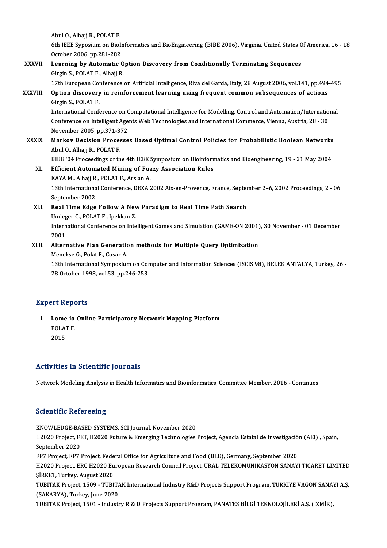Abul O., Alhajj R., POLAT F. Abul O., Alhajj R., POLAT F.<br>6th IEEE Syposium on BioInformatics and BioEngineering (BIBE 2006), Virginia, United States Of America, 16 - 18<br>Ostaber 2006, pp.281, 282 Abul O., Alhajj R., POLAT F.<br>6th IEEE Syposium on Bioli<br>October 2006, pp.281-282<br>Learning by Automatic ( 6th IEEE Syposium on BioInformatics and BioEngineering (BIBE 2006), Virginia, United States C<br>October 2006, pp.281-282<br>XXXVII. Learning by Automatic Option Discovery from Conditionally Terminating Sequences

# October 2006, pp.281-282<br>Learning by Automatic O<br>Girgin S., POLAT F., Alhajj R.<br>17th European Conference Learning by Automatic Option Discovery from Conditionally Terminating Sequences<br>Girgin S., POLAT F., Alhajj R.<br>17th European Conference on Artificial Intelligence, Riva del Garda, Italy, 28 August 2006, vol.141, pp.494-495

## Girgin S., POLAT F., Alhajj R.<br>17th European Conference on Artificial Intelligence, Riva del Garda, Italy, 28 August 2006, vol.141, pp.494<br>XXXVIII. Option discovery in reinforcement learning using frequent common subsequen 17th European Con<br>Option discovery<br>Girgin S., POLAT F.<br>International Conf Option discovery in reinforcement learning using frequent common subsequences of actions<br>Girgin S., POLAT F.<br>International Conference on Computational Intelligence for Modelling, Control and Automation/International<br>Confer

Girgin S., POLAT F.<br>International Conference on Computational Intelligence for Modelling, Control and Automation/Internatio<br>Conference on Intelligent Agents Web Technologies and International Commerce, Vienna, Austria, 28 International Conference on Conference on Intelligent Age<br>November 2005, pp.371-372<br>Markou Desision Prosesse Conference on Intelligent Agents Web Technologies and International Commerce, Vienna, Austria, 28 - 30<br>November 2005, pp.371-372<br>XXXIX. Markov Decision Processes Based Optimal Control Policies for Probabilistic Boolean

Abul O., Alhajj R., POLAT F. Markov Decision Processes Based Optimal Control Policies for Probabilistic Boolean Networks<br>Abul O., Alhajj R., POLAT F.<br>BIBE '04 Proceedings of the 4th IEEE Symposium on Bioinformatics and Bioengineering, 19 - 21 May 2004

XL. Efficient Automated Mining of Fuzzy Association Rules BIBE '04 Proceedings of the 4th IEEE !<br>Efficient Automated Mining of Fuz<br>KAYA M., Alhajj R., POLAT F., Arslan A.<br>12th International Conference, DEXA ?

Efficient Automated Mining of Fuzzy Association Rules<br>KAYA M., Alhajj R., POLAT F., Arslan A.<br>13th International Conference, DEXA 2002 Aix-en-Provence, France, September 2–6, 2002 Proceedings, 2 - 06<br>September 2002 KAYA M., Alhajj R.<br>13th Internationa<br>September 2002<br>Peal Time Edge 13th International Conference, DEXA 2002 Aix-en-Provence, France, Septer<br>September 2002<br>XLI. Real Time Edge Follow A New Paradigm to Real Time Path Search<br>Underge C. POLATE, Inckler 7 September 2002<br>Real Time Edge Follow A New Paradigm to Real Time Path Search

### International Conference on Intelligent Games and Simulation (GAME-ON 2001), 30 November - 01 December 2001 Undeger C., POLAT F., Ipekkan Z. International Conference on Intelligent Games and Simulation (GAME-ON 2001)<br>2001<br>XLII. Alternative Plan Generation methods for Multiple Query Optimization<br>Monekse C. Belat E. Cosar A

# 2001<br>Alternative Plan Generatio<br>Menekse G., Polat F., Cosar A.<br>12th International Sumnesius

Alternative Plan Generation methods for Multiple Query Optimization<br>Menekse G., Polat F., Cosar A.<br>13th International Symposium on Computer and Information Sciences (ISCIS 98), BELEK ANTALYA, Turkey, 26 -<br>28 October 1998, Menekse G., Polat F., Cosar A.<br>13th International Symposium on Cor<br>28 October 1998, vol.53, pp.246-253 28 October 1998, vol.53, pp.246-253<br>Expert Reports

Xpert Reports<br>I. Lome io Online Participatory Network Mapping Platform<br>ROLATE Lome io<br>POLAT F.<br>2015 Lome<br>POLA<sup>r</sup><br>2015

# Activities in Scientific Journals

Network Modeling Analysis in Health Informatics and Bioinformatics, Committee Member, 2016 - Continues

### **Scientific Refereeing**

KNOWLEDGE-BASED SYSTEMS, SCI Journal, November 2020 Berentinne Kerer Benng<br>KNOWLEDGE-BASED SYSTEMS, SCI Journal, November 2020<br>H2020 Project, FET, H2020 Future & Emerging Technologies Project, Agencia Estatal de Investigación (AEI) , Spain, KNOWLEDGE-BA<br>H2020 Project, FI<br>September 2020<br>EP7 Project, EP7 1 H2020 Project, FET, H2020 Future & Emerging Technologies Project, Agencia Estatal de Investigació<br>September 2020<br>FP7 Project, FP7 Project, Federal Office for Agriculture and Food (BLE), Germany, September 2020<br>H2020 Projec September 2020<br>FP7 Project, FP7 Project, Federal Office for Agriculture and Food (BLE), Germany, September 2020<br>H2020 Project, ERC H2020 European Research Council Project, URAL TELEKOMÜNİKASYON SANAYİ TİCARET LİMİTED<br>SİRKE FP7 Project, FP7 Project, Fede<br>H2020 Project, ERC H2020 Eu<br>ŞİRKET, Turkey, August 2020<br>TURITAK Project, 1500 - TÜRİ H2020 Project, ERC H2020 European Research Council Project, URAL TELEKOMÜNİKASYON SANAYİ TİCARET LİMİTED<br>ŞİRKET, Turkey, August 2020<br>TUBITAK Project, 1509 - TÜBİTAK International Industry R&D Projects Support Program, TÜRK ŞİRKET, Turkey, August 2020<br>TUBITAK Project, 1509 - TÜBİTAK International Industry R&D Projects Support Program, TÜRKİYE VAGON SANAYİ A.Ş.<br>(SAKARYA), Turkey, June 2020 TUBITAK Project, 1501 - Industry R & D Projects Support Program, PANATES BİLGİ TEKNOLOJİLERİ A.Ş. (İZMİR),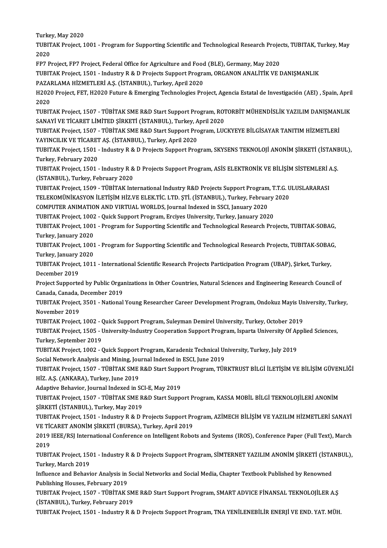Turkey, May 2020<br>Turkey, May 2020

| Turkey, May 2020                                                                                                                                                  |
|-------------------------------------------------------------------------------------------------------------------------------------------------------------------|
| TUBITAK Project, 1001 - Program for Supporting Scientific and Technological Research Projects, TUBITAK, Turkey, May                                               |
| 2020                                                                                                                                                              |
| FP7 Project, FP7 Project, Federal Office for Agriculture and Food (BLE), Germany, May 2020                                                                        |
| TUBITAK Project, 1501 - Industry R & D Projects Support Program, ORGANON ANALITIK VE DANIȘMANLIK                                                                  |
| PAZARLAMA HİZMETLERİ A.Ş. (İSTANBUL), Turkey, April 2020                                                                                                          |
| H2020 Project, FET, H2020 Future & Emerging Technologies Project, Agencia Estatal de Investigación (AEI), Spain, April                                            |
| 2020                                                                                                                                                              |
| TUBITAK Project, 1507 - TÜBİTAK SME R&D Start Support Program, ROTORBİT MÜHENDİSLİK YAZILIM DANIŞMANLIK                                                           |
| SANAYİ VE TİCARET LİMİTED ŞİRKETİ (İSTANBUL), Turkey, April 2020                                                                                                  |
| TUBITAK Project, 1507 - TÜBİTAK SME R&D Start Support Program, LUCKYEYE BİLGİSAYAR TANITIM HİZMETLERİ<br>YAYINCILIK VE TİCARET AŞ. (İSTANBUL), Turkey, April 2020 |
| TUBITAK Project, 1501 - Industry R & D Projects Support Program, SKYSENS TEKNOLOJİ ANONİM ŞİRKETİ (İSTANBUL),                                                     |
| Turkey, February 2020                                                                                                                                             |
| TUBITAK Project, 1501 - Industry R & D Projects Support Program, ASİS ELEKTRONİK VE BİLİŞİM SİSTEMLERİ A.Ş.                                                       |
| (ISTANBUL), Turkey, February 2020                                                                                                                                 |
| TUBITAK Project, 1509 - TÜBİTAK International Industry R&D Projects Support Program, T.T.G. ULUSLARARASI                                                          |
| TELEKOMÜNİKASYON İLETİŞİM HİZ.VE ELEK.TİC. LTD. ŞTİ. (İSTANBUL), Turkey, February 2020                                                                            |
| COMPUTER ANIMATION AND VIRTUAL WORLDS, Journal Indexed in SSCI, January 2020                                                                                      |
| TUBITAK Project, 1002 - Quick Support Program, Erciyes University, Turkey, January 2020                                                                           |
| TUBITAK Project, 1001 - Program for Supporting Scientific and Technological Research Projects, TUBITAK-SOBAG,                                                     |
| Turkey, January 2020                                                                                                                                              |
| TUBITAK Project, 1001 - Program for Supporting Scientific and Technological Research Projects, TUBITAK-SOBAG,                                                     |
| Turkey, January 2020                                                                                                                                              |
| TUBITAK Project, 1011 - International Scientific Research Projects Participation Program (UBAP), Şirket, Turkey,                                                  |
| December 2019                                                                                                                                                     |
| Project Supported by Public Organizations in Other Countries, Natural Sciences and Engineering Research Council of                                                |
| Canada, Canada, December 2019                                                                                                                                     |
| TUBITAK Project, 3501 - National Young Researcher Career Development Program, Ondokuz Mayis University, Turkey,                                                   |
| November 2019                                                                                                                                                     |
| TUBITAK Project, 1002 - Quick Support Program, Suleyman Demirel University, Turkey, October 2019                                                                  |
| TUBITAK Project, 1505 - University-Industry Cooperation Support Program, Isparta University Of Applied Sciences,                                                  |
| Turkey, September 2019                                                                                                                                            |
| TUBITAK Project, 1002 - Quick Support Program, Karadeniz Technical University, Turkey, July 2019                                                                  |
| Social Network Analysis and Mining, Journal Indexed in ESCI, June 2019                                                                                            |
| TUBITAK Project, 1507 - TÜBİTAK SME R&D Start Support Program, TÜRKTRUST BİLGİ İLETİŞİM VE BİLİŞİM GÜVENLİĞİ                                                      |
| HİZ. A.Ş. (ANKARA), Turkey, June 2019                                                                                                                             |
| Adaptive Behavior, Journal Indexed in SCI-E, May 2019                                                                                                             |
| TUBITAK Project, 1507 - TÜBİTAK SME R&D Start Support Program, KASSA MOBİL BİLGİ TEKNOLOJİLERİ ANONİM                                                             |
| ŞİRKETİ (İSTANBUL), Turkey, May 2019                                                                                                                              |
| TUBITAK Project, 1501 - Industry R & D Projects Support Program, AZİMECH BİLİŞİM VE YAZILIM HİZMETLERİ SANAYİ                                                     |
| VE TİCARET ANONİM ŞİRKETİ (BURSA), Turkey, April 2019                                                                                                             |
| 2019 IEEE/RSJ International Conference on Intelligent Robots and Systems (IROS), Conference Paper (Full Text), March                                              |
| 2019                                                                                                                                                              |
| TUBITAK Project, 1501 - Industry R & D Projects Support Program, SİMTERNET YAZILIM ANONİM ŞİRKETİ (İSTANBUL),                                                     |
| Turkey, March 2019                                                                                                                                                |
| Influence and Behavior Analysis in Social Networks and Social Media, Chapter Textbook Published by Renowned<br>Publishing Houses, February 2019                   |
| TUBITAK Project, 1507 - TÜBİTAK SME R&D Start Support Program, SMART ADVICE FİNANSAL TEKNOLOJİLER A.Ş                                                             |
| (ISTANBUL), Turkey, February 2019                                                                                                                                 |
| TUBITAK Project, 1501 - Industry R & D Projects Support Program, TNA YENİLENEBİLİR ENERJİ VE END. YAT. MÜH.                                                       |
|                                                                                                                                                                   |